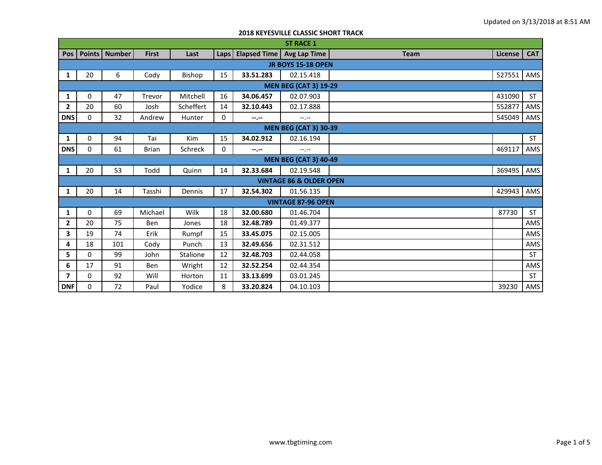|                           | <b>ST RACE 1</b>             |                 |              |            |      |                     |                                    |             |         |            |  |
|---------------------------|------------------------------|-----------------|--------------|------------|------|---------------------|------------------------------------|-------------|---------|------------|--|
| Pos                       |                              | Points   Number | <b>First</b> | Last       | Laps | <b>Elapsed Time</b> | <b>Avg Lap Time</b>                | <b>Team</b> | License | <b>CAT</b> |  |
| <b>JR BOYS 15-18 OPEN</b> |                              |                 |              |            |      |                     |                                    |             |         |            |  |
| 1                         | 20                           | 6               | Cody         | Bishop     | 15   | 33.51.283           | 02.15.418                          |             | 527551  | AMS        |  |
|                           | <b>MEN BEG (CAT 3) 19-29</b> |                 |              |            |      |                     |                                    |             |         |            |  |
| 1                         | 0                            | 47              | Trevor       | Mitchell   | 16   | 34.06.457           | 02.07.903                          |             | 431090  | <b>ST</b>  |  |
| $\mathbf{2}$              | 20                           | 60              | Josh         | Scheffert  | 14   | 32.10.443           | 02.17.888                          |             | 552877  | AMS        |  |
| <b>DNS</b>                | 0                            | 32              | Andrew       | Hunter     | 0    | $-1$ , $-1$         | $-1$ , $-1$                        |             | 545049  | AMS        |  |
|                           | <b>MEN BEG (CAT 3) 30-39</b> |                 |              |            |      |                     |                                    |             |         |            |  |
| 1                         | 0                            | 94              | Tai          | <b>Kim</b> | 15   | 34.02.912           | 02.16.194                          |             |         | <b>ST</b>  |  |
| <b>DNS</b>                | 0                            | 61              | <b>Brian</b> | Schreck    | 0    | $-1$ , $-1$         | $-1$ , $-1$                        |             | 469117  | AMS        |  |
|                           | <b>MEN BEG (CAT 3) 40-49</b> |                 |              |            |      |                     |                                    |             |         |            |  |
| 1                         | 20                           | 53              | Todd         | Quinn      | 14   | 32.33.684           | 02.19.548                          |             | 369495  | AMS        |  |
|                           |                              |                 |              |            |      |                     | <b>VINTAGE 86 &amp; OLDER OPEN</b> |             |         |            |  |
| 1                         | 20                           | 14              | Tasshi       | Dennis     | 17   | 32.54.302           | 01.56.135                          |             | 429943  | AMS        |  |
|                           |                              |                 |              |            |      |                     | <b>VINTAGE 87-96 OPEN</b>          |             |         |            |  |
| 1                         | 0                            | 69              | Michael      | Wilk       | 18   | 32.00.680           | 01.46.704                          |             | 87730   | ST         |  |
| $\overline{2}$            | 20                           | 75              | Ben          | Jones      | 18   | 32.48.789           | 01.49.377                          |             |         | AMS        |  |
| 3                         | 19                           | 74              | Erik         | Rumpf      | 15   | 33.45.075           | 02.15.005                          |             |         | AMS        |  |
| 4                         | 18                           | 101             | Cody         | Punch      | 13   | 32.49.656           | 02.31.512                          |             |         | AMS        |  |
| 5                         | $\Omega$                     | 99              | John         | Stalione   | 12   | 32.48.703           | 02.44.058                          |             |         | <b>ST</b>  |  |
| 6                         | 17                           | 91              | <b>Ben</b>   | Wright     | 12   | 32.52.254           | 02.44.354                          |             |         | AMS        |  |
| 7                         | 0                            | 92              | Will         | Horton     | 11   | 33.13.699           | 03.01.245                          |             |         | ST         |  |
| <b>DNF</b>                | 0                            | 72              | Paul         | Yodice     | 8    | 33.20.824           | 04.10.103                          |             | 39230   | AMS        |  |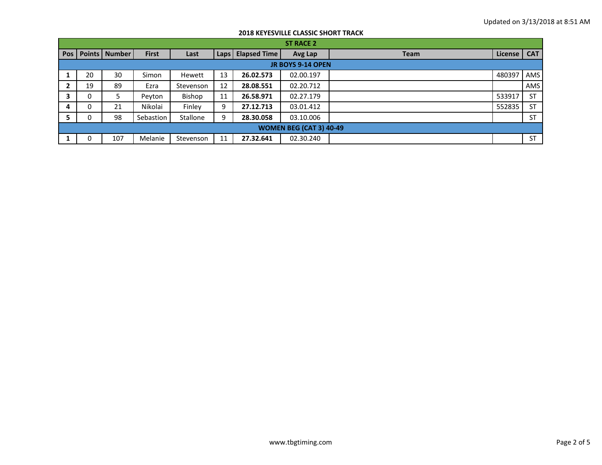|     | <b>ST RACE 2</b>               |                 |              |           |      |                     |           |             |         |            |  |
|-----|--------------------------------|-----------------|--------------|-----------|------|---------------------|-----------|-------------|---------|------------|--|
| Pos |                                | Points   Number | <b>First</b> | Last      | Laps | <b>Elapsed Time</b> | Avg Lap   | <b>Team</b> | License | <b>CAT</b> |  |
|     | <b>JR BOYS 9-14 OPEN</b>       |                 |              |           |      |                     |           |             |         |            |  |
|     | 20                             | 30              | Simon        | Hewett    | 13   | 26.02.573           | 02.00.197 |             | 480397  | AMS        |  |
|     | 19                             | 89              | Ezra         | Stevenson | 12   | 28.08.551           | 02.20.712 |             |         | AMS        |  |
|     | 0                              | 5               | Peyton       | Bishop    | 11   | 26.58.971           | 02.27.179 |             | 533917  | <b>ST</b>  |  |
| 4   | 0                              | 21              | Nikolai      | Finley    | 9    | 27.12.713           | 03.01.412 |             | 552835  | <b>ST</b>  |  |
|     | 0                              | 98              | Sebastion    | Stallone  | 9    | 28.30.058           | 03.10.006 |             |         | <b>ST</b>  |  |
|     | <b>WOMEN BEG (CAT 3) 40-49</b> |                 |              |           |      |                     |           |             |         |            |  |
|     | 0                              | 107             | Melanie      | Stevenson | 11   | 27.32.641           | 02.30.240 |             |         | <b>ST</b>  |  |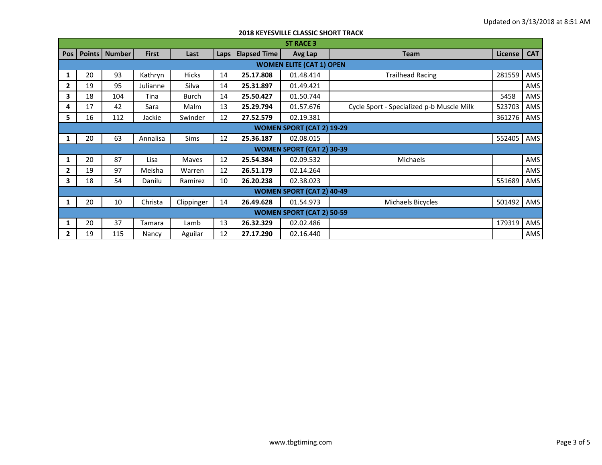|                                  | <b>ST RACE 3</b> |               |              |              |      |                     |                                  |                                           |         |            |  |  |
|----------------------------------|------------------|---------------|--------------|--------------|------|---------------------|----------------------------------|-------------------------------------------|---------|------------|--|--|
| <b>Pos</b>                       | Points           | <b>Number</b> | <b>First</b> | Last         | Laps | <b>Elapsed Time</b> | Avg Lap                          | <b>Team</b>                               | License | <b>CAT</b> |  |  |
| <b>WOMEN ELITE (CAT 1) OPEN</b>  |                  |               |              |              |      |                     |                                  |                                           |         |            |  |  |
| 1                                | 20               | 93            | Kathryn      | <b>Hicks</b> | 14   | 25.17.808           | 01.48.414                        | <b>Trailhead Racing</b>                   | 281559  | AMS        |  |  |
| $\mathbf{2}$                     | 19               | 95            | Julianne     | Silva        | 14   | 25.31.897           | 01.49.421                        |                                           |         | AMS        |  |  |
| 3                                | 18               | 104           | Tina         | <b>Burch</b> | 14   | 25.50.427           | 01.50.744                        |                                           | 5458    | AMS        |  |  |
| 4                                | 17               | 42            | Sara         | Malm         | 13   | 25.29.794           | 01.57.676                        | Cycle Sport - Specialized p-b Muscle Milk | 523703  | AMS        |  |  |
| 5                                | 16               | 112           | Jackie       | Swinder      | 12   | 27.52.579           | 02.19.381                        |                                           | 361276  | AMS        |  |  |
| <b>WOMEN SPORT (CAT 2) 19-29</b> |                  |               |              |              |      |                     |                                  |                                           |         |            |  |  |
|                                  | 20               | 63            | Annalisa     | Sims         | 12   | 25.36.187           | 02.08.015                        |                                           | 552405  | AMS        |  |  |
|                                  |                  |               |              |              |      |                     | <b>WOMEN SPORT (CAT 2) 30-39</b> |                                           |         |            |  |  |
| 1                                | 20               | 87            | Lisa         | Maves        | 12   | 25.54.384           | 02.09.532                        | Michaels                                  |         | AMS        |  |  |
| 2                                | 19               | 97            | Meisha       | Warren       | 12   | 26.51.179           | 02.14.264                        |                                           |         | AMS        |  |  |
| 3                                | 18               | 54            | Danilu       | Ramirez      | 10   | 26.20.238           | 02.38.023                        |                                           | 551689  | AMS        |  |  |
|                                  |                  |               |              |              |      |                     | <b>WOMEN SPORT (CAT 2) 40-49</b> |                                           |         |            |  |  |
|                                  | 20               | 10            | Christa      | Clippinger   | 14   | 26.49.628           | 01.54.973                        | Michaels Bicycles                         | 501492  | AMS        |  |  |
|                                  |                  |               |              |              |      |                     | <b>WOMEN SPORT (CAT 2) 50-59</b> |                                           |         |            |  |  |
|                                  | 20               | 37            | Tamara       | Lamb         | 13   | 26.32.329           | 02.02.486                        |                                           | 179319  | AMS        |  |  |
| $\mathbf{2}$                     | 19               | 115           | Nancy        | Aguilar      | 12   | 27.17.290           | 02.16.440                        |                                           |         | AMS        |  |  |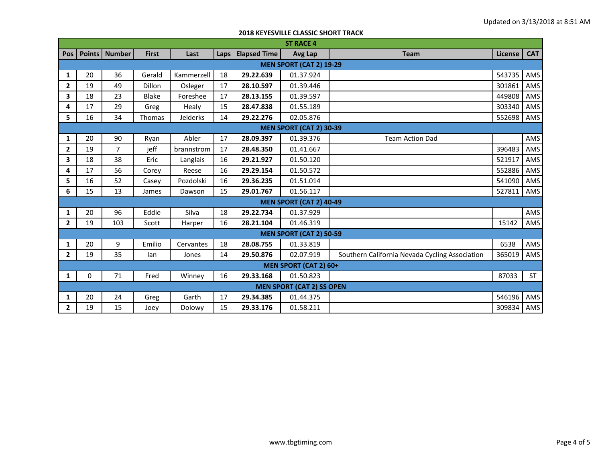|                                | <b>ST RACE 4</b>               |                 |               |            |      |                     |                                  |                                                |                |            |  |  |
|--------------------------------|--------------------------------|-----------------|---------------|------------|------|---------------------|----------------------------------|------------------------------------------------|----------------|------------|--|--|
| Pos                            |                                | Points   Number | <b>First</b>  | Last       | Laps | <b>Elapsed Time</b> | Avg Lap                          | <b>Team</b>                                    | <b>License</b> | <b>CAT</b> |  |  |
| <b>MEN SPORT (CAT 2) 19-29</b> |                                |                 |               |            |      |                     |                                  |                                                |                |            |  |  |
| 1                              | 20                             | 36              | Gerald        | Kammerzell | 18   | 29.22.639           | 01.37.924                        |                                                | 543735         | AMS        |  |  |
| 2                              | 19                             | 49              | <b>Dillon</b> | Osleger    | 17   | 28.10.597           | 01.39.446                        |                                                | 301861         | AMS        |  |  |
| 3                              | 18                             | 23              | <b>Blake</b>  | Foreshee   | 17   | 28.13.155           | 01.39.597                        |                                                | 449808         | AMS        |  |  |
| 4                              | 17                             | 29              | Greg          | Healy      | 15   | 28.47.838           | 01.55.189                        |                                                | 303340         | AMS        |  |  |
| 5                              | 16                             | 34              | Thomas        | Jelderks   | 14   | 29.22.276           | 02.05.876                        |                                                | 552698         | AMS        |  |  |
|                                | <b>MEN SPORT (CAT 2) 30-39</b> |                 |               |            |      |                     |                                  |                                                |                |            |  |  |
| 1                              | 20                             | 90              | Ryan          | Abler      | 17   | 28.09.397           | 01.39.376                        | <b>Team Action Dad</b>                         |                | AMS        |  |  |
| $\mathbf{2}$                   | 19                             | $\overline{7}$  | jeff          | brannstrom | 17   | 28.48.350           | 01.41.667                        |                                                | 396483         | AMS        |  |  |
| 3                              | 18                             | 38              | Eric          | Langlais   | 16   | 29.21.927           | 01.50.120                        |                                                | 521917         | AMS        |  |  |
| 4                              | 17                             | 56              | Corey         | Reese      | 16   | 29.29.154           | 01.50.572                        |                                                | 552886         | AMS        |  |  |
| 5                              | 16                             | 52              | Casey         | Pozdolski  | 16   | 29.36.235           | 01.51.014                        |                                                | 541090         | AMS        |  |  |
| 6                              | 15                             | 13              | James         | Dawson     | 15   | 29.01.767           | 01.56.117                        |                                                | 527811         | AMS        |  |  |
|                                |                                |                 |               |            |      |                     | <b>MEN SPORT (CAT 2) 40-49</b>   |                                                |                |            |  |  |
| 1                              | 20                             | 96              | Eddie         | Silva      | 18   | 29.22.734           | 01.37.929                        |                                                |                | AMS        |  |  |
| $\overline{2}$                 | 19                             | 103             | Scott         | Harper     | 16   | 28.21.104           | 01.46.319                        |                                                | 15142          | AMS        |  |  |
|                                |                                |                 |               |            |      |                     | <b>MEN SPORT (CAT 2) 50-59</b>   |                                                |                |            |  |  |
| 1                              | 20                             | 9               | Emilio        | Cervantes  | 18   | 28.08.755           | 01.33.819                        |                                                | 6538           | AMS        |  |  |
| $\mathbf{2}$                   | 19                             | 35              | lan           | Jones      | 14   | 29.50.876           | 02.07.919                        | Southern California Nevada Cycling Association | 365019         | AMS        |  |  |
|                                |                                |                 |               |            |      |                     | <b>MEN SPORT (CAT 2) 60+</b>     |                                                |                |            |  |  |
| 1                              | 0                              | 71              | Fred          | Winney     | 16   | 29.33.168           | 01.50.823                        |                                                | 87033          | ST         |  |  |
|                                |                                |                 |               |            |      |                     | <b>MEN SPORT (CAT 2) SS OPEN</b> |                                                |                |            |  |  |
| 1                              | 20                             | 24              | Greg          | Garth      | 17   | 29.34.385           | 01.44.375                        |                                                | 546196         | AMS        |  |  |
| $\mathbf{2}$                   | 19                             | 15              | Joey          | Dolowy     | 15   | 29.33.176           | 01.58.211                        |                                                | 309834         | AMS        |  |  |